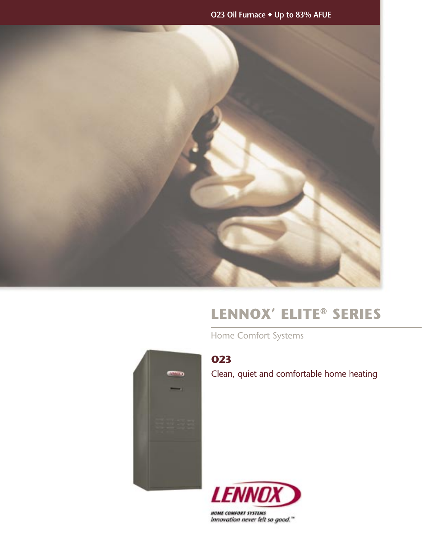**O23 Oil Furnace** ◆ **Up to 83% AFUE** 



# **LENNOX' ELITE® SERIES**

Home Comfort Systems



**O23** 

Clean, quiet and comfortable home heating



**HOME COMFORT SYSTEMS** Innovation never felt so good."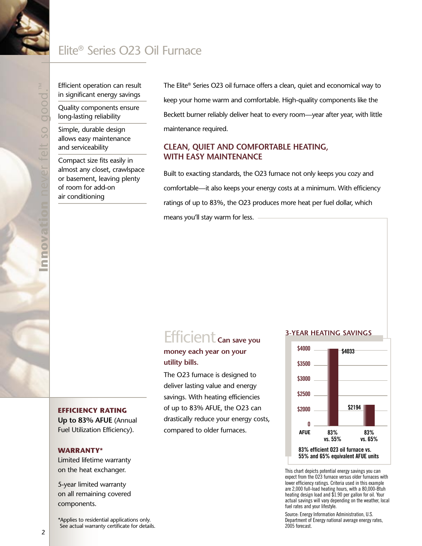## Elite® Series O23 Oil Furnace

Efficient operation can result in significant energy savings

Quality components ensure long-lasting reliability

Simple, durable design allows easy maintenance and serviceability

Compact size fits easily in almost any closet, crawlspace or basement, leaving plenty of room for add-on air conditioning

The Elite® Series O23 oil furnace offers a clean, quiet and economical way to keep your home warm and comfortable. High-quality components like the Beckett burner reliably deliver heat to every room—year after year, with little maintenance required.

### **CLEAN, QUIET AND COMFORTABLE HEATING, WITH EASY MAINTENANCE**

Built to exacting standards, the O23 furnace not only keeps you cozy and comfortable—it also keeps your energy costs at a minimum. With efficiency ratings of up to 83%, the O23 produces more heat per fuel dollar, which means you'll stay warm for less.

## Efficient **Can save you**

## **money each year on your utility bills.**

The O23 furnace is designed to deliver lasting value and energy savings. With heating efficiencies of up to 83% AFUE, the O23 can drastically reduce your energy costs, compared to older furnaces.

#### **3-YEAR HEATING SAVINGS**



This chart depicts potential energy savings you can expect from the O23 furnace versus older furnaces with lower efficiency ratings. Criteria used in this example are 2,000 full-load heating hours, with a 80,000-Btuh heating design load and \$1.90 per gallon for oil. Your actual savings will vary depending on the weather, local fuel rates and your lifestyle.

Source: Energy Information Administration, U.S. Department of Energy national average energy rates, 2005 forecast.

#### **EFFICIENCY RATING**

**Up to 83% AFUE** (Annual Fuel Utilization Efficiency).

#### **WARRANTY\***

Limited lifetime warranty on the heat exchanger.

5-year limited warranty on all remaining covered components.

\*Applies to residential applications only. See actual warranty certificate for details.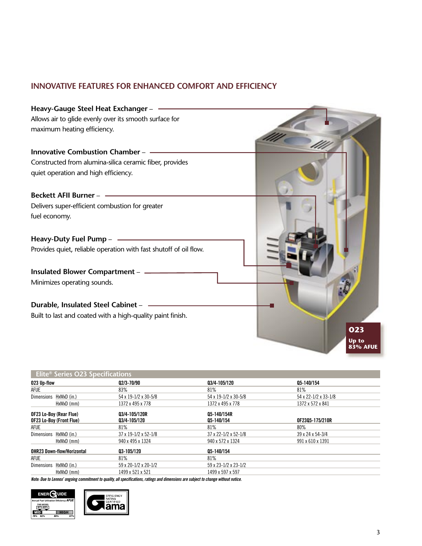## **INNOVATIVE FEATURES FOR ENHANCED COMFORT AND EFFICIENCY**



| Elite <sup>®</sup> Series O23 Specifications        |            |                               |                           |                      |
|-----------------------------------------------------|------------|-------------------------------|---------------------------|----------------------|
| 023 Up-flow                                         |            | Q2/3-70/90                    | 03/4-105/120              | 05-140/154           |
| AFUE                                                |            | 83%                           | 81%                       | 81%                  |
| Dimensions HxWxD (in.)                              |            | 54 x 19-1/2 x 30-5/8          | 54 x 19-1/2 x 30-5/8      | 54 x 22-1/2 x 33-1/8 |
|                                                     | HxWxD (mm) | 1372 x 495 x 778              | 1372 x 495 x 778          | 1372 x 572 x 841     |
| OF23 Lo-Boy (Rear Flue)<br>OF23 Lo-Boy (Front Flue) |            | Q3/4-105/120R<br>Q3/4-105/120 | Q5-140/154R<br>05-140/154 | OF2305-175/210R      |
| AFUE                                                |            | 81%                           | 81%                       | 80%                  |
| Dimensions HxWxD (in.)                              |            | 37 x 19-1/2 x 52-1/8          | 37 x 22-1/2 x 52-1/8      | 39 x 24 x 54-3/4     |
|                                                     | HxWxD (mm) | 940 x 495 x 1324              | 940 x 572 x 1324          | 991 x 610 x 1391     |
| 03-105/120<br><b>OHR23 Down-flow/Horizontal</b>     |            |                               | 05-140/154                |                      |
| <b>AFUE</b>                                         |            | 81%                           | 81%                       |                      |
| Dimensions HxWxD (in.)                              |            | 59 x 20-1/2 x 20-1/2          | 59 x 23-1/2 x 23-1/2      |                      |
|                                                     | HxWxD (mm) | 1499 x 521 x 521              | 1499 x 597 x 597          |                      |

**Note: Due to Lennox' ongoing commitment to quality, all specifications, ratings and dimensions are subject to change without notice.**